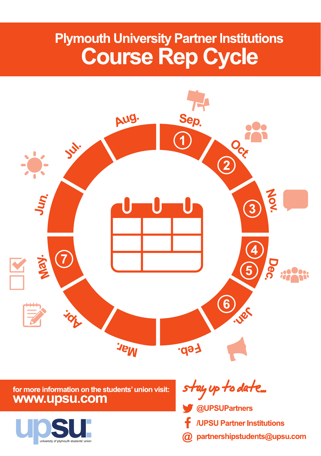## **Plymouth University Partner Institutions Course Rep Cycle**



## for more information on the students' union visit: www.upsu.com



stay up to date...

- @UPSUPartners
- /UPSU Partner Institutions
- partnershipstudents@upsu.com